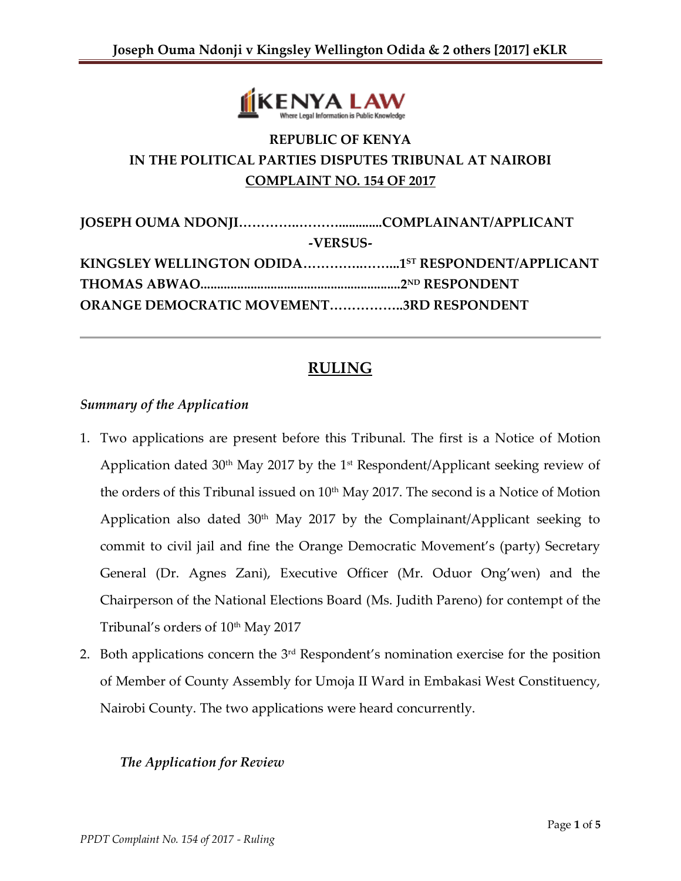

# **REPUBLIC OF KENYA IN THE POLITICAL PARTIES DISPUTES TRIBUNAL AT NAIROBI COMPLAINT NO. 154 OF 2017**

| -VERSUS-                                          |  |
|---------------------------------------------------|--|
| KINGSLEY WELLINGTON ODIDA15T RESPONDENT/APPLICANT |  |
|                                                   |  |
| <b>ORANGE DEMOCRATIC MOVEMENT3RD RESPONDENT</b>   |  |

## **RULING**

#### *Summary of the Application*

- 1. Two applications are present before this Tribunal. The first is a Notice of Motion Application dated  $30<sup>th</sup>$  May 2017 by the 1<sup>st</sup> Respondent/Applicant seeking review of the orders of this Tribunal issued on  $10<sup>th</sup>$  May 2017. The second is a Notice of Motion Application also dated  $30<sup>th</sup>$  May 2017 by the Complainant/Applicant seeking to commit to civil jail and fine the Orange Democratic Movement's (party) Secretary General (Dr. Agnes Zani), Executive Officer (Mr. Oduor Ong'wen) and the Chairperson of the National Elections Board (Ms. Judith Pareno) for contempt of the Tribunal's orders of 10<sup>th</sup> May 2017
- 2. Both applications concern the 3<sup>rd</sup> Respondent's nomination exercise for the position of Member of County Assembly for Umoja II Ward in Embakasi West Constituency, Nairobi County. The two applications were heard concurrently.

#### *The Application for Review*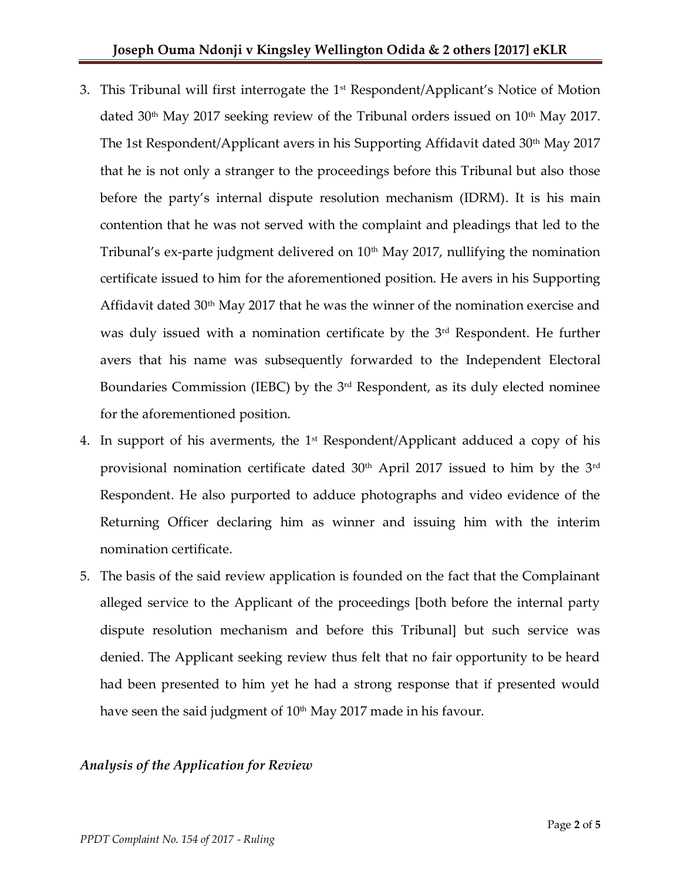- 3. This Tribunal will first interrogate the  $1<sup>st</sup>$  Respondent/Applicant's Notice of Motion dated 30<sup>th</sup> May 2017 seeking review of the Tribunal orders issued on  $10^{th}$  May 2017. The 1st Respondent/Applicant avers in his Supporting Affidavit dated 30<sup>th</sup> May 2017 that he is not only a stranger to the proceedings before this Tribunal but also those before the party's internal dispute resolution mechanism (IDRM). It is his main contention that he was not served with the complaint and pleadings that led to the Tribunal's ex-parte judgment delivered on  $10<sup>th</sup>$  May 2017, nullifying the nomination certificate issued to him for the aforementioned position. He avers in his Supporting Affidavit dated 30th May 2017 that he was the winner of the nomination exercise and was duly issued with a nomination certificate by the 3<sup>rd</sup> Respondent. He further avers that his name was subsequently forwarded to the Independent Electoral Boundaries Commission (IEBC) by the 3<sup>rd</sup> Respondent, as its duly elected nominee for the aforementioned position.
- 4. In support of his averments, the 1<sup>st</sup> Respondent/Applicant adduced a copy of his provisional nomination certificate dated  $30<sup>th</sup>$  April 2017 issued to him by the  $3<sup>rd</sup>$ Respondent. He also purported to adduce photographs and video evidence of the Returning Officer declaring him as winner and issuing him with the interim nomination certificate.
- 5. The basis of the said review application is founded on the fact that the Complainant alleged service to the Applicant of the proceedings [both before the internal party dispute resolution mechanism and before this Tribunal] but such service was denied. The Applicant seeking review thus felt that no fair opportunity to be heard had been presented to him yet he had a strong response that if presented would have seen the said judgment of  $10<sup>th</sup>$  May 2017 made in his favour.

### *Analysis of the Application for Review*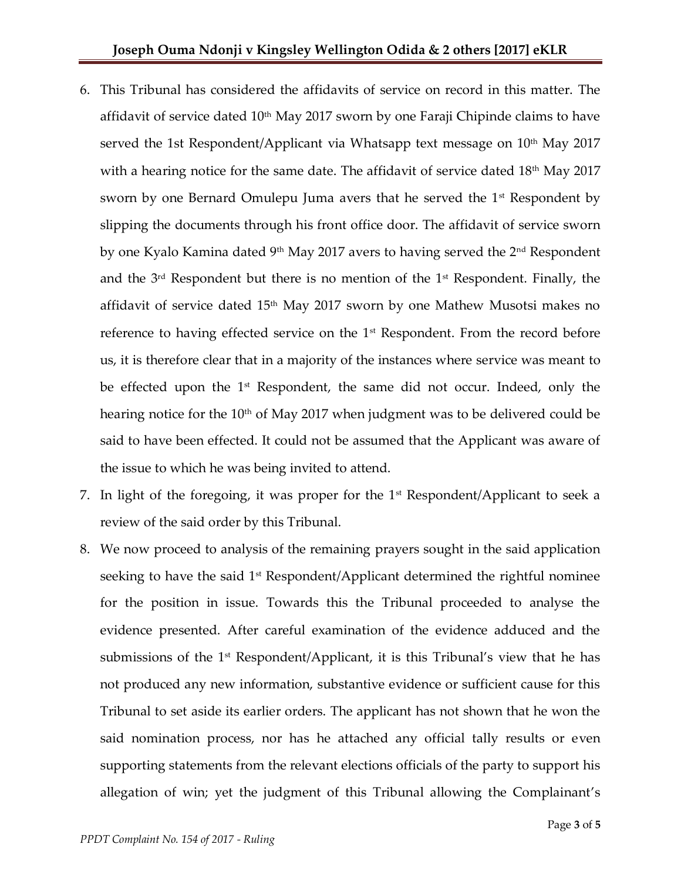- 6. This Tribunal has considered the affidavits of service on record in this matter. The affidavit of service dated 10<sup>th</sup> May 2017 sworn by one Faraji Chipinde claims to have served the 1st Respondent/Applicant via Whatsapp text message on  $10<sup>th</sup>$  May 2017 with a hearing notice for the same date. The affidavit of service dated  $18<sup>th</sup>$  May 2017 sworn by one Bernard Omulepu Juma avers that he served the  $1<sup>st</sup>$  Respondent by slipping the documents through his front office door. The affidavit of service sworn by one Kyalo Kamina dated 9<sup>th</sup> May 2017 avers to having served the 2<sup>nd</sup> Respondent and the  $3<sup>rd</sup>$  Respondent but there is no mention of the  $1<sup>st</sup>$  Respondent. Finally, the affidavit of service dated 15th May 2017 sworn by one Mathew Musotsi makes no reference to having effected service on the 1<sup>st</sup> Respondent. From the record before us, it is therefore clear that in a majority of the instances where service was meant to be effected upon the 1<sup>st</sup> Respondent, the same did not occur. Indeed, only the hearing notice for the  $10<sup>th</sup>$  of May 2017 when judgment was to be delivered could be said to have been effected. It could not be assumed that the Applicant was aware of the issue to which he was being invited to attend.
- 7. In light of the foregoing, it was proper for the  $1<sup>st</sup>$  Respondent/Applicant to seek a review of the said order by this Tribunal.
- 8. We now proceed to analysis of the remaining prayers sought in the said application seeking to have the said  $1<sup>st</sup>$  Respondent/Applicant determined the rightful nominee for the position in issue. Towards this the Tribunal proceeded to analyse the evidence presented. After careful examination of the evidence adduced and the submissions of the 1<sup>st</sup> Respondent/Applicant, it is this Tribunal's view that he has not produced any new information, substantive evidence or sufficient cause for this Tribunal to set aside its earlier orders. The applicant has not shown that he won the said nomination process, nor has he attached any official tally results or even supporting statements from the relevant elections officials of the party to support his allegation of win; yet the judgment of this Tribunal allowing the Complainant's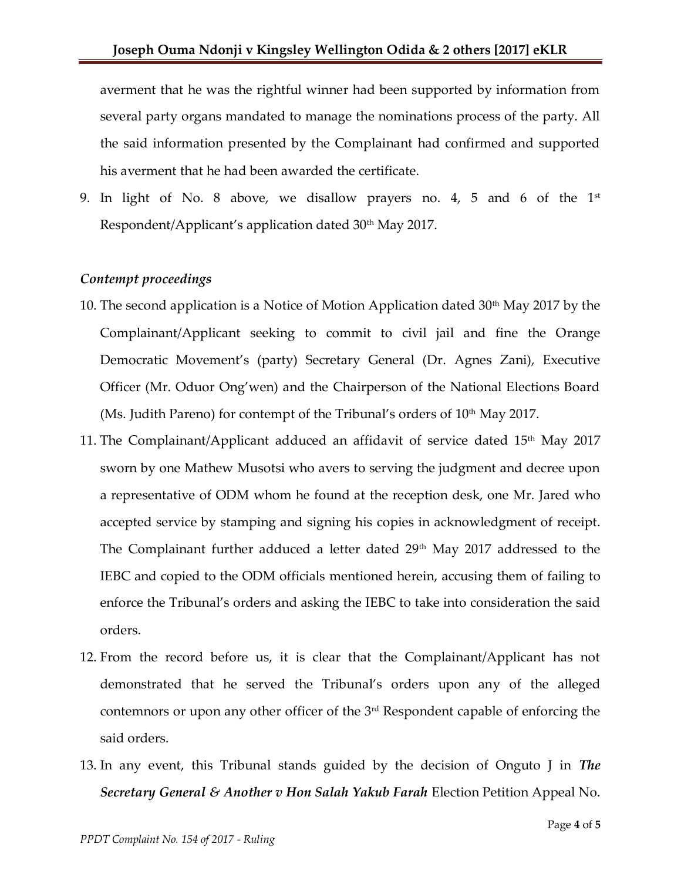averment that he was the rightful winner had been supported by information from several party organs mandated to manage the nominations process of the party. All the said information presented by the Complainant had confirmed and supported his averment that he had been awarded the certificate.

9. In light of No. 8 above, we disallow prayers no. 4, 5 and 6 of the  $1<sup>st</sup>$ Respondent/Applicant's application dated 30<sup>th</sup> May 2017.

#### *Contempt proceedings*

- 10. The second application is a Notice of Motion Application dated  $30<sup>th</sup>$  May 2017 by the Complainant/Applicant seeking to commit to civil jail and fine the Orange Democratic Movement's (party) Secretary General (Dr. Agnes Zani), Executive Officer (Mr. Oduor Ong'wen) and the Chairperson of the National Elections Board (Ms. Judith Pareno) for contempt of the Tribunal's orders of  $10<sup>th</sup>$  May 2017.
- 11. The Complainant/Applicant adduced an affidavit of service dated  $15<sup>th</sup>$  May 2017 sworn by one Mathew Musotsi who avers to serving the judgment and decree upon a representative of ODM whom he found at the reception desk, one Mr. Jared who accepted service by stamping and signing his copies in acknowledgment of receipt. The Complainant further adduced a letter dated 29<sup>th</sup> May 2017 addressed to the IEBC and copied to the ODM officials mentioned herein, accusing them of failing to enforce the Tribunal's orders and asking the IEBC to take into consideration the said orders.
- 12. From the record before us, it is clear that the Complainant/Applicant has not demonstrated that he served the Tribunal's orders upon any of the alleged contemnors or upon any other officer of the  $3<sup>rd</sup>$  Respondent capable of enforcing the said orders.
- 13. In any event, this Tribunal stands guided by the decision of Onguto J in *The Secretary General & Another v Hon Salah Yakub Farah* Election Petition Appeal No.